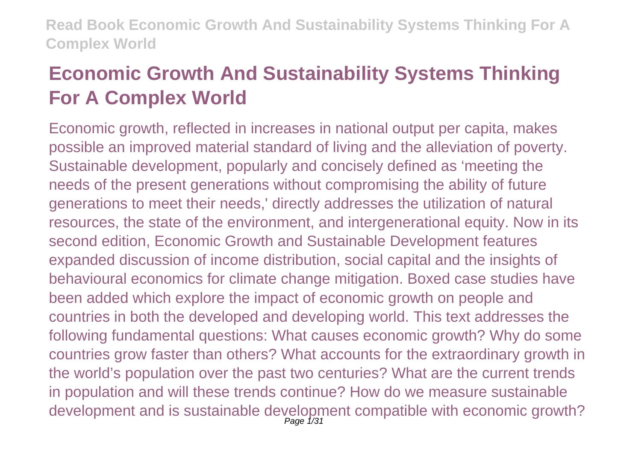# **Economic Growth And Sustainability Systems Thinking For A Complex World**

Economic growth, reflected in increases in national output per capita, makes possible an improved material standard of living and the alleviation of poverty. Sustainable development, popularly and concisely defined as 'meeting the needs of the present generations without compromising the ability of future generations to meet their needs,' directly addresses the utilization of natural resources, the state of the environment, and intergenerational equity. Now in its second edition, Economic Growth and Sustainable Development features expanded discussion of income distribution, social capital and the insights of behavioural economics for climate change mitigation. Boxed case studies have been added which explore the impact of economic growth on people and countries in both the developed and developing world. This text addresses the following fundamental questions: What causes economic growth? Why do some countries grow faster than others? What accounts for the extraordinary growth in the world's population over the past two centuries? What are the current trends in population and will these trends continue? How do we measure sustainable development and is sustainable development compatible with economic growth?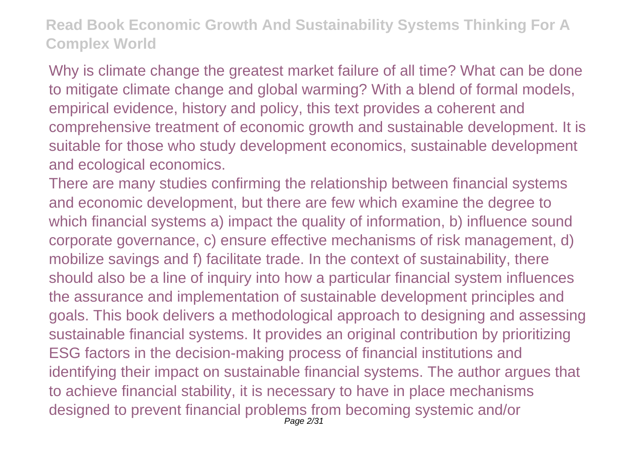Why is climate change the greatest market failure of all time? What can be done to mitigate climate change and global warming? With a blend of formal models, empirical evidence, history and policy, this text provides a coherent and comprehensive treatment of economic growth and sustainable development. It is suitable for those who study development economics, sustainable development and ecological economics.

There are many studies confirming the relationship between financial systems and economic development, but there are few which examine the degree to which financial systems a) impact the quality of information, b) influence sound corporate governance, c) ensure effective mechanisms of risk management, d) mobilize savings and f) facilitate trade. In the context of sustainability, there should also be a line of inquiry into how a particular financial system influences the assurance and implementation of sustainable development principles and goals. This book delivers a methodological approach to designing and assessing sustainable financial systems. It provides an original contribution by prioritizing ESG factors in the decision-making process of financial institutions and identifying their impact on sustainable financial systems. The author argues that to achieve financial stability, it is necessary to have in place mechanisms designed to prevent financial problems from becoming systemic and/or Page 2/31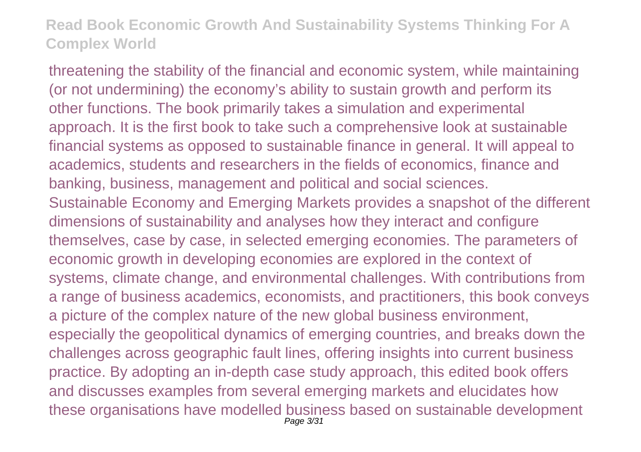threatening the stability of the financial and economic system, while maintaining (or not undermining) the economy's ability to sustain growth and perform its other functions. The book primarily takes a simulation and experimental approach. It is the first book to take such a comprehensive look at sustainable financial systems as opposed to sustainable finance in general. It will appeal to academics, students and researchers in the fields of economics, finance and banking, business, management and political and social sciences. Sustainable Economy and Emerging Markets provides a snapshot of the different dimensions of sustainability and analyses how they interact and configure themselves, case by case, in selected emerging economies. The parameters of economic growth in developing economies are explored in the context of systems, climate change, and environmental challenges. With contributions from a range of business academics, economists, and practitioners, this book conveys a picture of the complex nature of the new global business environment, especially the geopolitical dynamics of emerging countries, and breaks down the challenges across geographic fault lines, offering insights into current business practice. By adopting an in-depth case study approach, this edited book offers and discusses examples from several emerging markets and elucidates how these organisations have modelled business based on sustainable development Page 3/31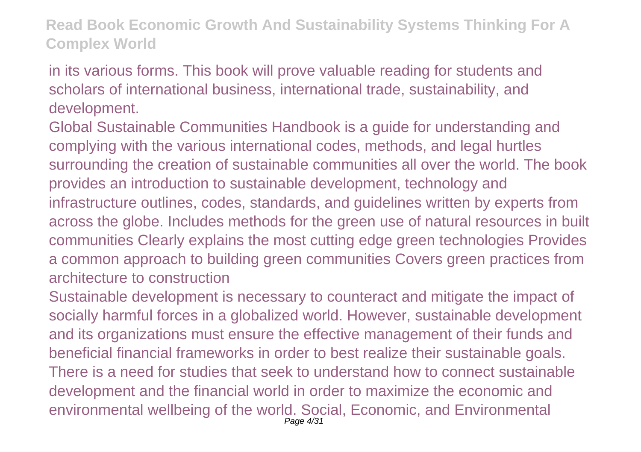in its various forms. This book will prove valuable reading for students and scholars of international business, international trade, sustainability, and development.

Global Sustainable Communities Handbook is a guide for understanding and complying with the various international codes, methods, and legal hurtles surrounding the creation of sustainable communities all over the world. The book provides an introduction to sustainable development, technology and infrastructure outlines, codes, standards, and guidelines written by experts from across the globe. Includes methods for the green use of natural resources in built communities Clearly explains the most cutting edge green technologies Provides a common approach to building green communities Covers green practices from architecture to construction

Sustainable development is necessary to counteract and mitigate the impact of socially harmful forces in a globalized world. However, sustainable development and its organizations must ensure the effective management of their funds and beneficial financial frameworks in order to best realize their sustainable goals. There is a need for studies that seek to understand how to connect sustainable development and the financial world in order to maximize the economic and environmental wellbeing of the world. Social, Economic, and Environmental Page 4/31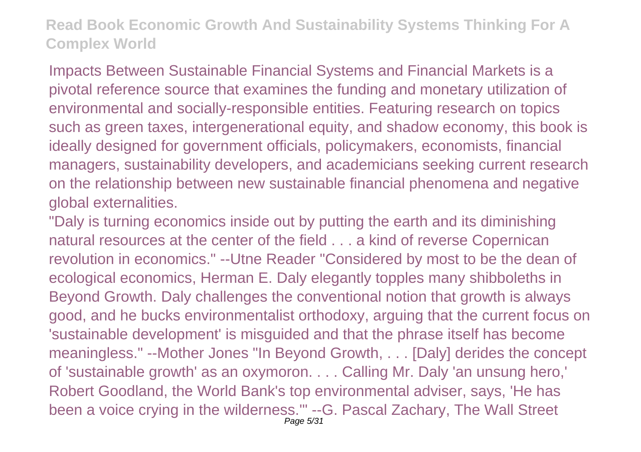Impacts Between Sustainable Financial Systems and Financial Markets is a pivotal reference source that examines the funding and monetary utilization of environmental and socially-responsible entities. Featuring research on topics such as green taxes, intergenerational equity, and shadow economy, this book is ideally designed for government officials, policymakers, economists, financial managers, sustainability developers, and academicians seeking current research on the relationship between new sustainable financial phenomena and negative global externalities.

"Daly is turning economics inside out by putting the earth and its diminishing natural resources at the center of the field . . . a kind of reverse Copernican revolution in economics." --Utne Reader "Considered by most to be the dean of ecological economics, Herman E. Daly elegantly topples many shibboleths in Beyond Growth. Daly challenges the conventional notion that growth is always good, and he bucks environmentalist orthodoxy, arguing that the current focus on 'sustainable development' is misguided and that the phrase itself has become meaningless." --Mother Jones "In Beyond Growth, . . . [Daly] derides the concept of 'sustainable growth' as an oxymoron. . . . Calling Mr. Daly 'an unsung hero,' Robert Goodland, the World Bank's top environmental adviser, says, 'He has been a voice crying in the wilderness.'" --G. Pascal Zachary, The Wall Street Page 5/31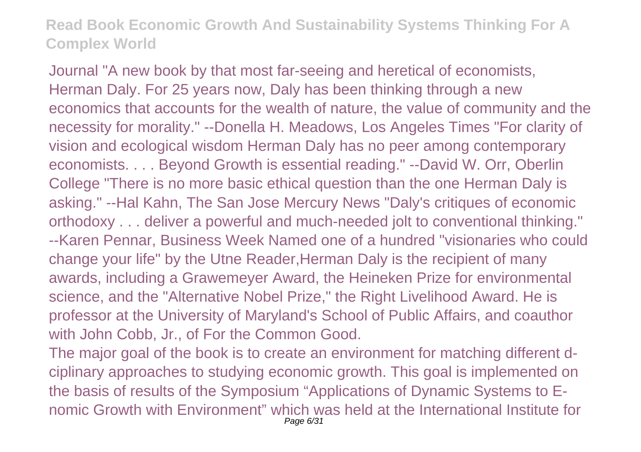Journal "A new book by that most far-seeing and heretical of economists, Herman Daly. For 25 years now, Daly has been thinking through a new economics that accounts for the wealth of nature, the value of community and the necessity for morality." --Donella H. Meadows, Los Angeles Times "For clarity of vision and ecological wisdom Herman Daly has no peer among contemporary economists. . . . Beyond Growth is essential reading." --David W. Orr, Oberlin College "There is no more basic ethical question than the one Herman Daly is asking." --Hal Kahn, The San Jose Mercury News "Daly's critiques of economic orthodoxy . . . deliver a powerful and much-needed jolt to conventional thinking." --Karen Pennar, Business Week Named one of a hundred "visionaries who could change your life" by the Utne Reader,Herman Daly is the recipient of many awards, including a Grawemeyer Award, the Heineken Prize for environmental science, and the "Alternative Nobel Prize," the Right Livelihood Award. He is professor at the University of Maryland's School of Public Affairs, and coauthor with John Cobb, Jr., of For the Common Good.

The major goal of the book is to create an environment for matching different dciplinary approaches to studying economic growth. This goal is implemented on the basis of results of the Symposium "Applications of Dynamic Systems to Enomic Growth with Environment" which was held at the International Institute for Page 6/31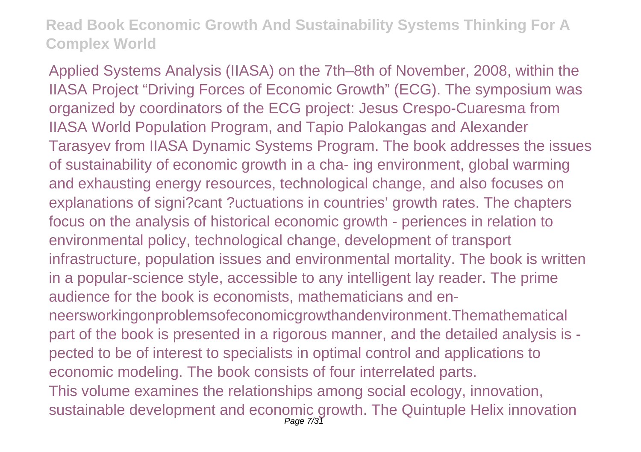Applied Systems Analysis (IIASA) on the 7th–8th of November, 2008, within the IIASA Project "Driving Forces of Economic Growth" (ECG). The symposium was organized by coordinators of the ECG project: Jesus Crespo-Cuaresma from IIASA World Population Program, and Tapio Palokangas and Alexander Tarasyev from IIASA Dynamic Systems Program. The book addresses the issues of sustainability of economic growth in a cha- ing environment, global warming and exhausting energy resources, technological change, and also focuses on explanations of signi?cant ?uctuations in countries' growth rates. The chapters focus on the analysis of historical economic growth - periences in relation to environmental policy, technological change, development of transport infrastructure, population issues and environmental mortality. The book is written in a popular-science style, accessible to any intelligent lay reader. The prime audience for the book is economists, mathematicians and enneersworkingonproblemsofeconomicgrowthandenvironment.Themathematical part of the book is presented in a rigorous manner, and the detailed analysis is pected to be of interest to specialists in optimal control and applications to economic modeling. The book consists of four interrelated parts. This volume examines the relationships among social ecology, innovation, sustainable development and economic growth. The Quintuple Helix innovation Page 7/31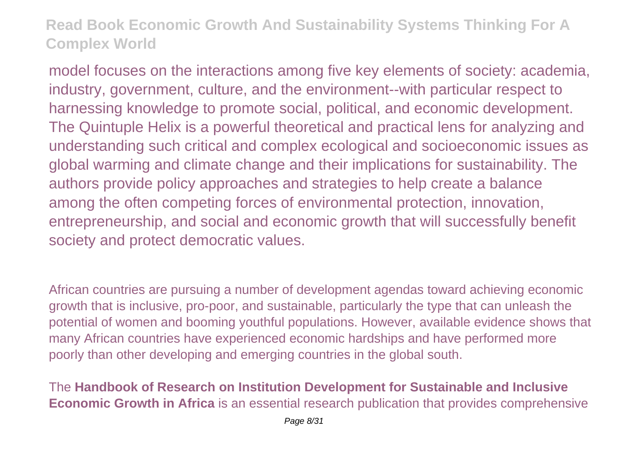model focuses on the interactions among five key elements of society: academia, industry, government, culture, and the environment--with particular respect to harnessing knowledge to promote social, political, and economic development. The Quintuple Helix is a powerful theoretical and practical lens for analyzing and understanding such critical and complex ecological and socioeconomic issues as global warming and climate change and their implications for sustainability. The authors provide policy approaches and strategies to help create a balance among the often competing forces of environmental protection, innovation, entrepreneurship, and social and economic growth that will successfully benefit society and protect democratic values.

African countries are pursuing a number of development agendas toward achieving economic growth that is inclusive, pro-poor, and sustainable, particularly the type that can unleash the potential of women and booming youthful populations. However, available evidence shows that many African countries have experienced economic hardships and have performed more poorly than other developing and emerging countries in the global south.

The **Handbook of Research on Institution Development for Sustainable and Inclusive Economic Growth in Africa** is an essential research publication that provides comprehensive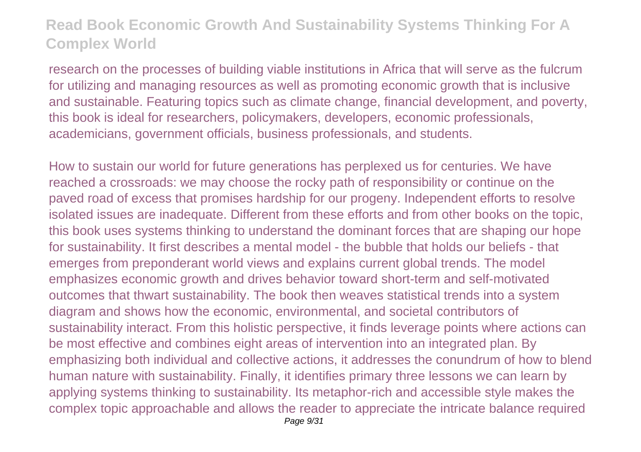research on the processes of building viable institutions in Africa that will serve as the fulcrum for utilizing and managing resources as well as promoting economic growth that is inclusive and sustainable. Featuring topics such as climate change, financial development, and poverty, this book is ideal for researchers, policymakers, developers, economic professionals, academicians, government officials, business professionals, and students.

How to sustain our world for future generations has perplexed us for centuries. We have reached a crossroads: we may choose the rocky path of responsibility or continue on the paved road of excess that promises hardship for our progeny. Independent efforts to resolve isolated issues are inadequate. Different from these efforts and from other books on the topic, this book uses systems thinking to understand the dominant forces that are shaping our hope for sustainability. It first describes a mental model - the bubble that holds our beliefs - that emerges from preponderant world views and explains current global trends. The model emphasizes economic growth and drives behavior toward short-term and self-motivated outcomes that thwart sustainability. The book then weaves statistical trends into a system diagram and shows how the economic, environmental, and societal contributors of sustainability interact. From this holistic perspective, it finds leverage points where actions can be most effective and combines eight areas of intervention into an integrated plan. By emphasizing both individual and collective actions, it addresses the conundrum of how to blend human nature with sustainability. Finally, it identifies primary three lessons we can learn by applying systems thinking to sustainability. Its metaphor-rich and accessible style makes the complex topic approachable and allows the reader to appreciate the intricate balance required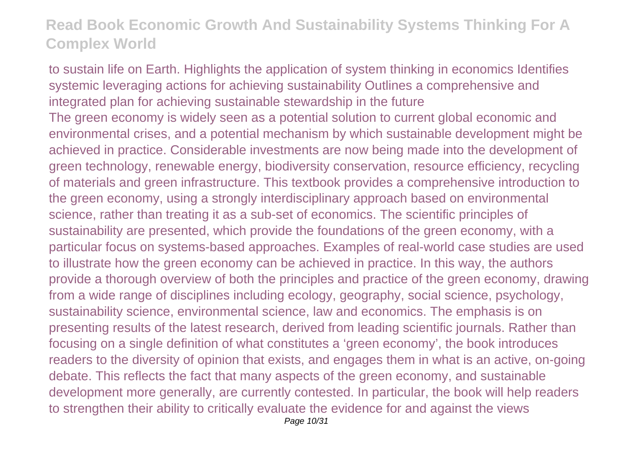to sustain life on Earth. Highlights the application of system thinking in economics Identifies systemic leveraging actions for achieving sustainability Outlines a comprehensive and integrated plan for achieving sustainable stewardship in the future The green economy is widely seen as a potential solution to current global economic and environmental crises, and a potential mechanism by which sustainable development might be achieved in practice. Considerable investments are now being made into the development of green technology, renewable energy, biodiversity conservation, resource efficiency, recycling of materials and green infrastructure. This textbook provides a comprehensive introduction to the green economy, using a strongly interdisciplinary approach based on environmental science, rather than treating it as a sub-set of economics. The scientific principles of sustainability are presented, which provide the foundations of the green economy, with a particular focus on systems-based approaches. Examples of real-world case studies are used to illustrate how the green economy can be achieved in practice. In this way, the authors provide a thorough overview of both the principles and practice of the green economy, drawing from a wide range of disciplines including ecology, geography, social science, psychology, sustainability science, environmental science, law and economics. The emphasis is on presenting results of the latest research, derived from leading scientific journals. Rather than focusing on a single definition of what constitutes a 'green economy', the book introduces readers to the diversity of opinion that exists, and engages them in what is an active, on-going debate. This reflects the fact that many aspects of the green economy, and sustainable development more generally, are currently contested. In particular, the book will help readers to strengthen their ability to critically evaluate the evidence for and against the views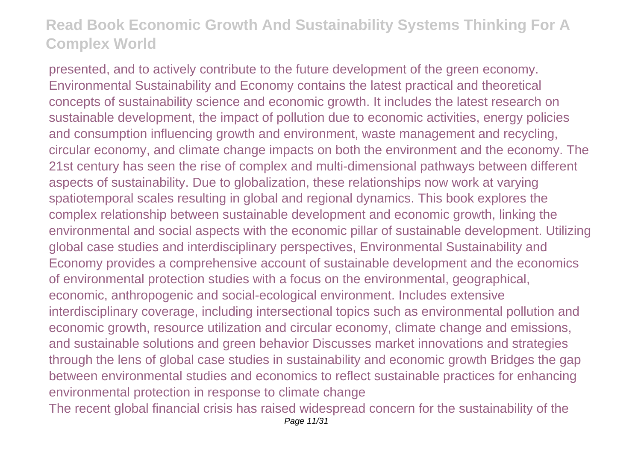presented, and to actively contribute to the future development of the green economy. Environmental Sustainability and Economy contains the latest practical and theoretical concepts of sustainability science and economic growth. It includes the latest research on sustainable development, the impact of pollution due to economic activities, energy policies and consumption influencing growth and environment, waste management and recycling, circular economy, and climate change impacts on both the environment and the economy. The 21st century has seen the rise of complex and multi-dimensional pathways between different aspects of sustainability. Due to globalization, these relationships now work at varying spatiotemporal scales resulting in global and regional dynamics. This book explores the complex relationship between sustainable development and economic growth, linking the environmental and social aspects with the economic pillar of sustainable development. Utilizing global case studies and interdisciplinary perspectives, Environmental Sustainability and Economy provides a comprehensive account of sustainable development and the economics of environmental protection studies with a focus on the environmental, geographical, economic, anthropogenic and social-ecological environment. Includes extensive interdisciplinary coverage, including intersectional topics such as environmental pollution and economic growth, resource utilization and circular economy, climate change and emissions, and sustainable solutions and green behavior Discusses market innovations and strategies through the lens of global case studies in sustainability and economic growth Bridges the gap between environmental studies and economics to reflect sustainable practices for enhancing environmental protection in response to climate change

The recent global financial crisis has raised widespread concern for the sustainability of the Page 11/31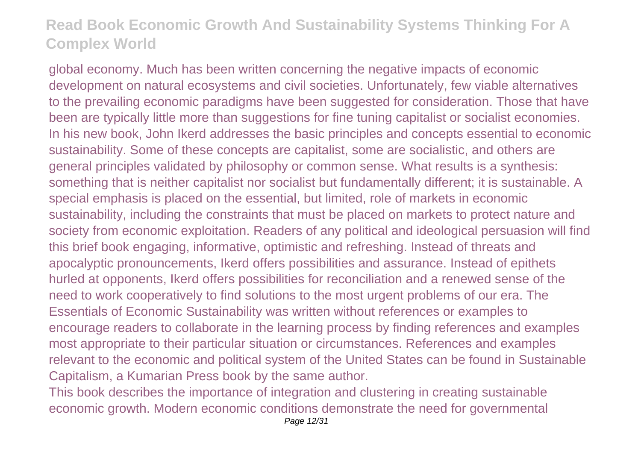global economy. Much has been written concerning the negative impacts of economic development on natural ecosystems and civil societies. Unfortunately, few viable alternatives to the prevailing economic paradigms have been suggested for consideration. Those that have been are typically little more than suggestions for fine tuning capitalist or socialist economies. In his new book, John Ikerd addresses the basic principles and concepts essential to economic sustainability. Some of these concepts are capitalist, some are socialistic, and others are general principles validated by philosophy or common sense. What results is a synthesis: something that is neither capitalist nor socialist but fundamentally different; it is sustainable. A special emphasis is placed on the essential, but limited, role of markets in economic sustainability, including the constraints that must be placed on markets to protect nature and society from economic exploitation. Readers of any political and ideological persuasion will find this brief book engaging, informative, optimistic and refreshing. Instead of threats and apocalyptic pronouncements, Ikerd offers possibilities and assurance. Instead of epithets hurled at opponents, Ikerd offers possibilities for reconciliation and a renewed sense of the need to work cooperatively to find solutions to the most urgent problems of our era. The Essentials of Economic Sustainability was written without references or examples to encourage readers to collaborate in the learning process by finding references and examples most appropriate to their particular situation or circumstances. References and examples relevant to the economic and political system of the United States can be found in Sustainable Capitalism, a Kumarian Press book by the same author.

This book describes the importance of integration and clustering in creating sustainable economic growth. Modern economic conditions demonstrate the need for governmental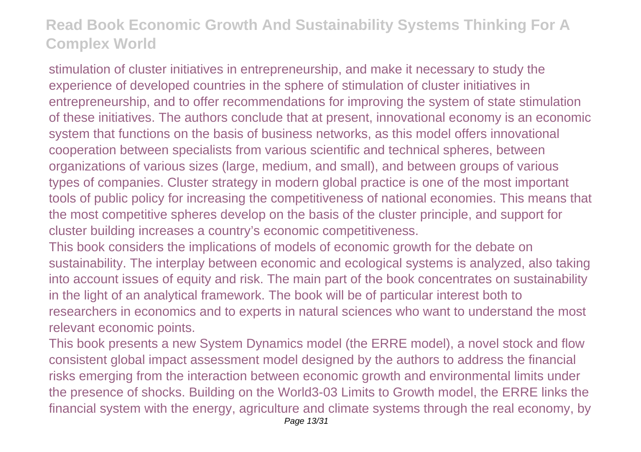stimulation of cluster initiatives in entrepreneurship, and make it necessary to study the experience of developed countries in the sphere of stimulation of cluster initiatives in entrepreneurship, and to offer recommendations for improving the system of state stimulation of these initiatives. The authors conclude that at present, innovational economy is an economic system that functions on the basis of business networks, as this model offers innovational cooperation between specialists from various scientific and technical spheres, between organizations of various sizes (large, medium, and small), and between groups of various types of companies. Cluster strategy in modern global practice is one of the most important tools of public policy for increasing the competitiveness of national economies. This means that the most competitive spheres develop on the basis of the cluster principle, and support for cluster building increases a country's economic competitiveness.

This book considers the implications of models of economic growth for the debate on sustainability. The interplay between economic and ecological systems is analyzed, also taking into account issues of equity and risk. The main part of the book concentrates on sustainability in the light of an analytical framework. The book will be of particular interest both to researchers in economics and to experts in natural sciences who want to understand the most relevant economic points.

This book presents a new System Dynamics model (the ERRE model), a novel stock and flow consistent global impact assessment model designed by the authors to address the financial risks emerging from the interaction between economic growth and environmental limits under the presence of shocks. Building on the World3-03 Limits to Growth model, the ERRE links the financial system with the energy, agriculture and climate systems through the real economy, by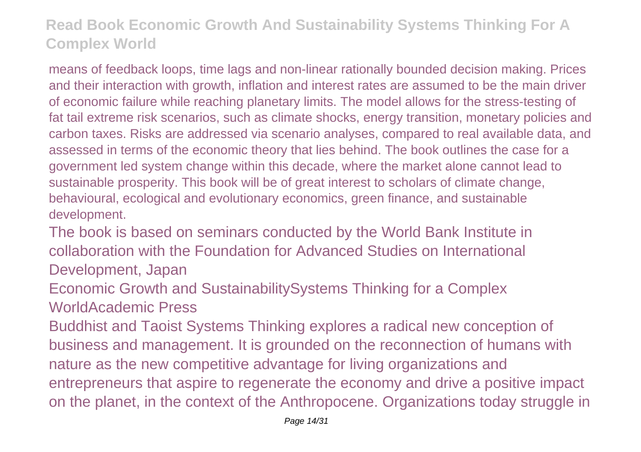means of feedback loops, time lags and non-linear rationally bounded decision making. Prices and their interaction with growth, inflation and interest rates are assumed to be the main driver of economic failure while reaching planetary limits. The model allows for the stress-testing of fat tail extreme risk scenarios, such as climate shocks, energy transition, monetary policies and carbon taxes. Risks are addressed via scenario analyses, compared to real available data, and assessed in terms of the economic theory that lies behind. The book outlines the case for a government led system change within this decade, where the market alone cannot lead to sustainable prosperity. This book will be of great interest to scholars of climate change, behavioural, ecological and evolutionary economics, green finance, and sustainable development.

The book is based on seminars conducted by the World Bank Institute in collaboration with the Foundation for Advanced Studies on International Development, Japan

Economic Growth and SustainabilitySystems Thinking for a Complex WorldAcademic Press

Buddhist and Taoist Systems Thinking explores a radical new conception of business and management. It is grounded on the reconnection of humans with nature as the new competitive advantage for living organizations and entrepreneurs that aspire to regenerate the economy and drive a positive impact on the planet, in the context of the Anthropocene. Organizations today struggle in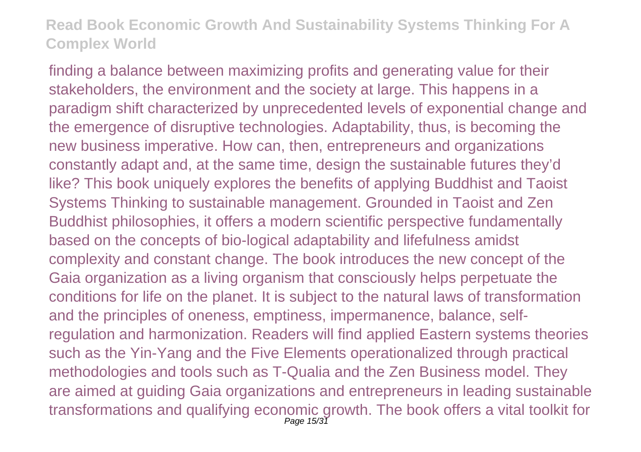finding a balance between maximizing profits and generating value for their stakeholders, the environment and the society at large. This happens in a paradigm shift characterized by unprecedented levels of exponential change and the emergence of disruptive technologies. Adaptability, thus, is becoming the new business imperative. How can, then, entrepreneurs and organizations constantly adapt and, at the same time, design the sustainable futures they'd like? This book uniquely explores the benefits of applying Buddhist and Taoist Systems Thinking to sustainable management. Grounded in Taoist and Zen Buddhist philosophies, it offers a modern scientific perspective fundamentally based on the concepts of bio-logical adaptability and lifefulness amidst complexity and constant change. The book introduces the new concept of the Gaia organization as a living organism that consciously helps perpetuate the conditions for life on the planet. It is subject to the natural laws of transformation and the principles of oneness, emptiness, impermanence, balance, selfregulation and harmonization. Readers will find applied Eastern systems theories such as the Yin-Yang and the Five Elements operationalized through practical methodologies and tools such as T-Qualia and the Zen Business model. They are aimed at guiding Gaia organizations and entrepreneurs in leading sustainable transformations and qualifying economic growth. The book offers a vital toolkit for<br>Page 15/31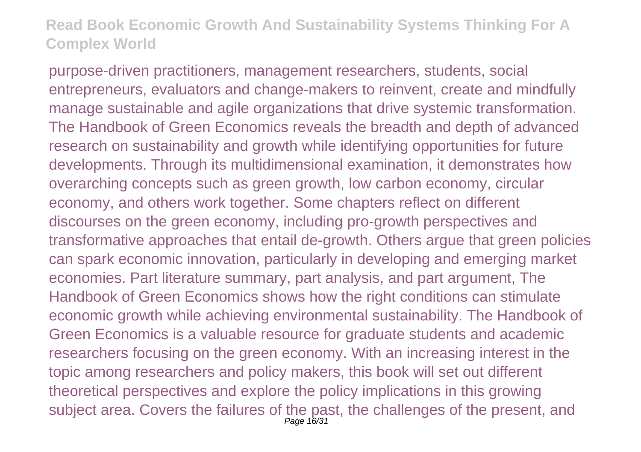purpose-driven practitioners, management researchers, students, social entrepreneurs, evaluators and change-makers to reinvent, create and mindfully manage sustainable and agile organizations that drive systemic transformation. The Handbook of Green Economics reveals the breadth and depth of advanced research on sustainability and growth while identifying opportunities for future developments. Through its multidimensional examination, it demonstrates how overarching concepts such as green growth, low carbon economy, circular economy, and others work together. Some chapters reflect on different discourses on the green economy, including pro-growth perspectives and transformative approaches that entail de-growth. Others argue that green policies can spark economic innovation, particularly in developing and emerging market economies. Part literature summary, part analysis, and part argument, The Handbook of Green Economics shows how the right conditions can stimulate economic growth while achieving environmental sustainability. The Handbook of Green Economics is a valuable resource for graduate students and academic researchers focusing on the green economy. With an increasing interest in the topic among researchers and policy makers, this book will set out different theoretical perspectives and explore the policy implications in this growing subject area. Covers the failures of the past, the challenges of the present, and Page 16/31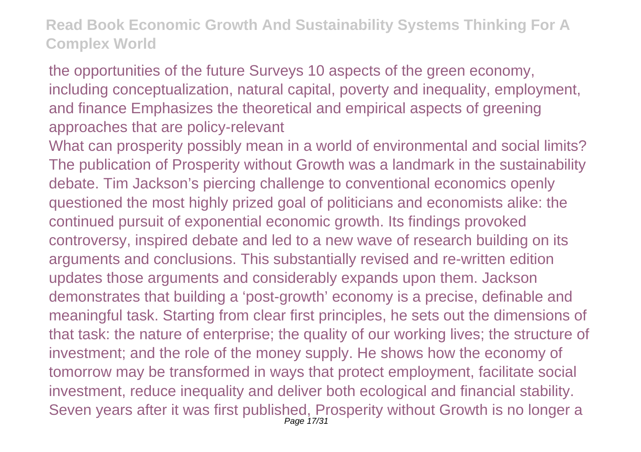the opportunities of the future Surveys 10 aspects of the green economy, including conceptualization, natural capital, poverty and inequality, employment, and finance Emphasizes the theoretical and empirical aspects of greening approaches that are policy-relevant

What can prosperity possibly mean in a world of environmental and social limits? The publication of Prosperity without Growth was a landmark in the sustainability debate. Tim Jackson's piercing challenge to conventional economics openly questioned the most highly prized goal of politicians and economists alike: the continued pursuit of exponential economic growth. Its findings provoked controversy, inspired debate and led to a new wave of research building on its arguments and conclusions. This substantially revised and re-written edition updates those arguments and considerably expands upon them. Jackson demonstrates that building a 'post-growth' economy is a precise, definable and meaningful task. Starting from clear first principles, he sets out the dimensions of that task: the nature of enterprise; the quality of our working lives; the structure of investment; and the role of the money supply. He shows how the economy of tomorrow may be transformed in ways that protect employment, facilitate social investment, reduce inequality and deliver both ecological and financial stability. Seven years after it was first published, Prosperity without Growth is no longer a Page 17/31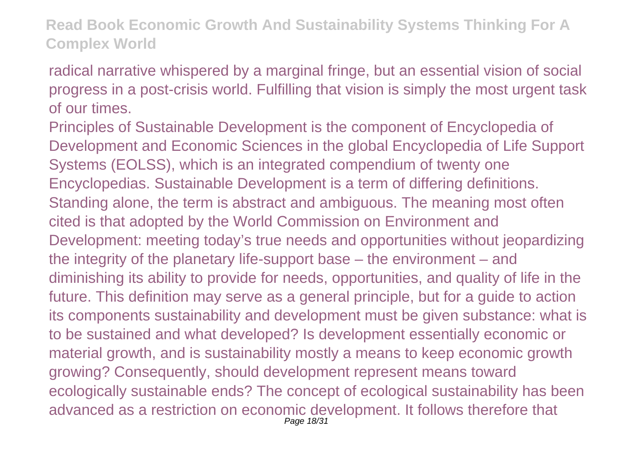radical narrative whispered by a marginal fringe, but an essential vision of social progress in a post-crisis world. Fulfilling that vision is simply the most urgent task of our times.

Principles of Sustainable Development is the component of Encyclopedia of Development and Economic Sciences in the global Encyclopedia of Life Support Systems (EOLSS), which is an integrated compendium of twenty one Encyclopedias. Sustainable Development is a term of differing definitions. Standing alone, the term is abstract and ambiguous. The meaning most often cited is that adopted by the World Commission on Environment and Development: meeting today's true needs and opportunities without jeopardizing the integrity of the planetary life-support base – the environment – and diminishing its ability to provide for needs, opportunities, and quality of life in the future. This definition may serve as a general principle, but for a guide to action its components sustainability and development must be given substance: what is to be sustained and what developed? Is development essentially economic or material growth, and is sustainability mostly a means to keep economic growth growing? Consequently, should development represent means toward ecologically sustainable ends? The concept of ecological sustainability has been advanced as a restriction on economic development. It follows therefore that Page 18/31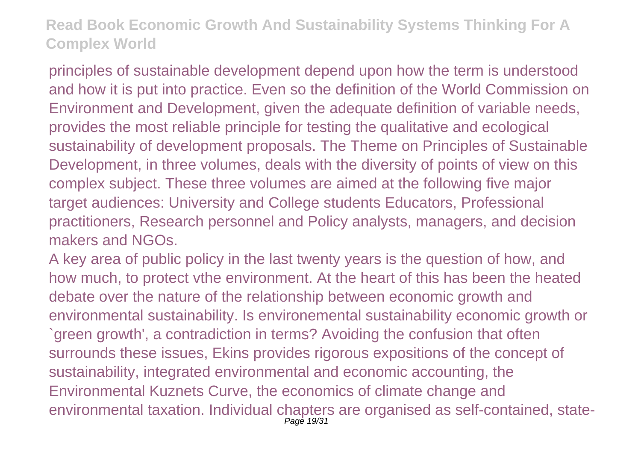principles of sustainable development depend upon how the term is understood and how it is put into practice. Even so the definition of the World Commission on Environment and Development, given the adequate definition of variable needs, provides the most reliable principle for testing the qualitative and ecological sustainability of development proposals. The Theme on Principles of Sustainable Development, in three volumes, deals with the diversity of points of view on this complex subject. These three volumes are aimed at the following five major target audiences: University and College students Educators, Professional practitioners, Research personnel and Policy analysts, managers, and decision makers and NGOs.

A key area of public policy in the last twenty years is the question of how, and how much, to protect vthe environment. At the heart of this has been the heated debate over the nature of the relationship between economic growth and environmental sustainability. Is environemental sustainability economic growth or `green growth', a contradiction in terms? Avoiding the confusion that often surrounds these issues, Ekins provides rigorous expositions of the concept of sustainability, integrated environmental and economic accounting, the Environmental Kuznets Curve, the economics of climate change and environmental taxation. Individual chapters are organised as self-contained, state-Page 19/31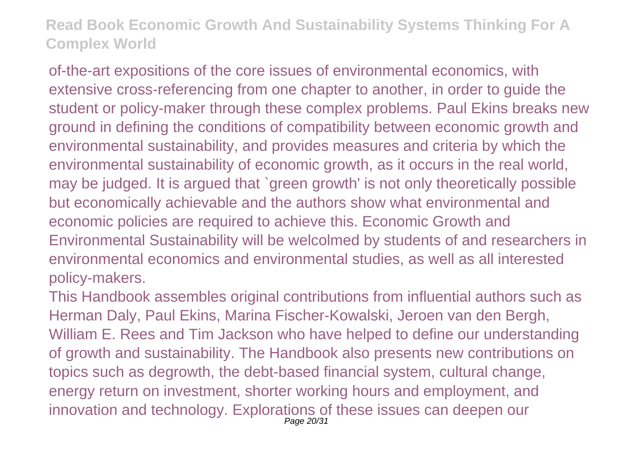of-the-art expositions of the core issues of environmental economics, with extensive cross-referencing from one chapter to another, in order to guide the student or policy-maker through these complex problems. Paul Ekins breaks new ground in defining the conditions of compatibility between economic growth and environmental sustainability, and provides measures and criteria by which the environmental sustainability of economic growth, as it occurs in the real world, may be judged. It is argued that `green growth' is not only theoretically possible but economically achievable and the authors show what environmental and economic policies are required to achieve this. Economic Growth and Environmental Sustainability will be welcolmed by students of and researchers in environmental economics and environmental studies, as well as all interested policy-makers.

This Handbook assembles original contributions from influential authors such as Herman Daly, Paul Ekins, Marina Fischer-Kowalski, Jeroen van den Bergh, William E. Rees and Tim Jackson who have helped to define our understanding of growth and sustainability. The Handbook also presents new contributions on topics such as degrowth, the debt-based financial system, cultural change, energy return on investment, shorter working hours and employment, and innovation and technology. Explorations of these issues can deepen our Page 20/31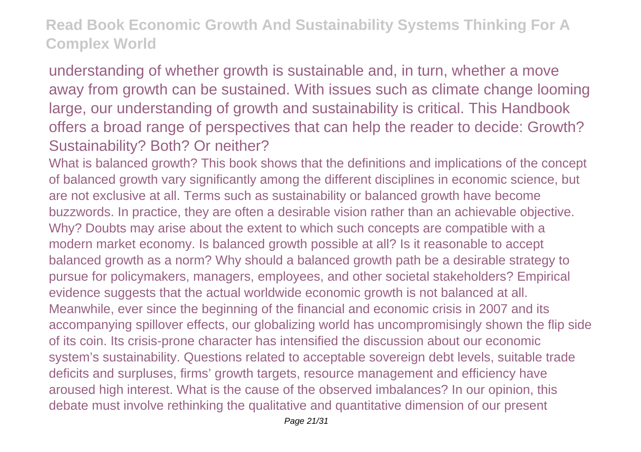understanding of whether growth is sustainable and, in turn, whether a move away from growth can be sustained. With issues such as climate change looming large, our understanding of growth and sustainability is critical. This Handbook offers a broad range of perspectives that can help the reader to decide: Growth? Sustainability? Both? Or neither?

What is balanced growth? This book shows that the definitions and implications of the concept of balanced growth vary significantly among the different disciplines in economic science, but are not exclusive at all. Terms such as sustainability or balanced growth have become buzzwords. In practice, they are often a desirable vision rather than an achievable objective. Why? Doubts may arise about the extent to which such concepts are compatible with a modern market economy. Is balanced growth possible at all? Is it reasonable to accept balanced growth as a norm? Why should a balanced growth path be a desirable strategy to pursue for policymakers, managers, employees, and other societal stakeholders? Empirical evidence suggests that the actual worldwide economic growth is not balanced at all. Meanwhile, ever since the beginning of the financial and economic crisis in 2007 and its accompanying spillover effects, our globalizing world has uncompromisingly shown the flip side of its coin. Its crisis-prone character has intensified the discussion about our economic system's sustainability. Questions related to acceptable sovereign debt levels, suitable trade deficits and surpluses, firms' growth targets, resource management and efficiency have aroused high interest. What is the cause of the observed imbalances? In our opinion, this debate must involve rethinking the qualitative and quantitative dimension of our present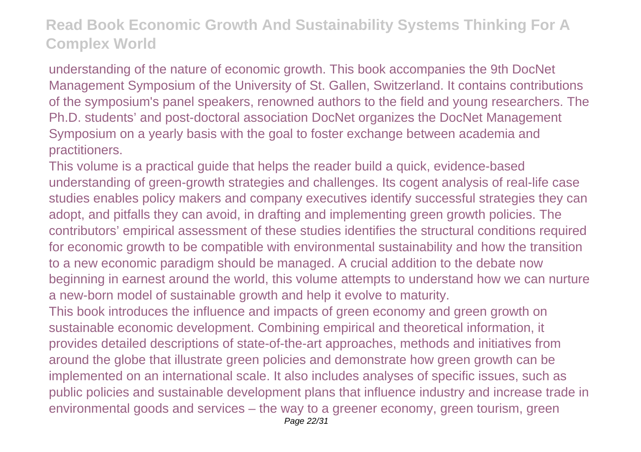understanding of the nature of economic growth. This book accompanies the 9th DocNet Management Symposium of the University of St. Gallen, Switzerland. It contains contributions of the symposium's panel speakers, renowned authors to the field and young researchers. The Ph.D. students' and post-doctoral association DocNet organizes the DocNet Management Symposium on a yearly basis with the goal to foster exchange between academia and practitioners.

This volume is a practical guide that helps the reader build a quick, evidence-based understanding of green-growth strategies and challenges. Its cogent analysis of real-life case studies enables policy makers and company executives identify successful strategies they can adopt, and pitfalls they can avoid, in drafting and implementing green growth policies. The contributors' empirical assessment of these studies identifies the structural conditions required for economic growth to be compatible with environmental sustainability and how the transition to a new economic paradigm should be managed. A crucial addition to the debate now beginning in earnest around the world, this volume attempts to understand how we can nurture a new-born model of sustainable growth and help it evolve to maturity.

This book introduces the influence and impacts of green economy and green growth on sustainable economic development. Combining empirical and theoretical information, it provides detailed descriptions of state-of-the-art approaches, methods and initiatives from around the globe that illustrate green policies and demonstrate how green growth can be implemented on an international scale. It also includes analyses of specific issues, such as public policies and sustainable development plans that influence industry and increase trade in environmental goods and services – the way to a greener economy, green tourism, green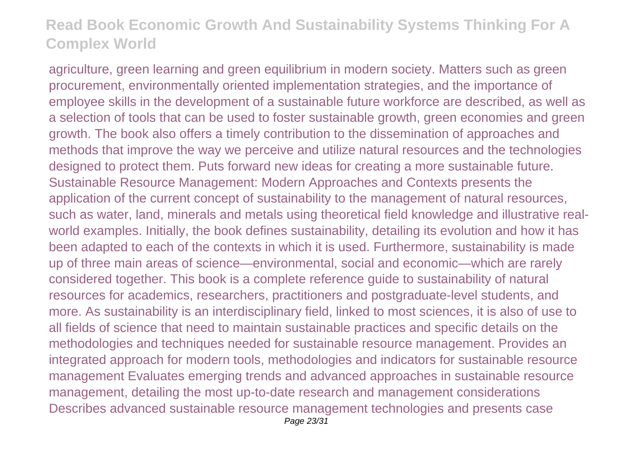agriculture, green learning and green equilibrium in modern society. Matters such as green procurement, environmentally oriented implementation strategies, and the importance of employee skills in the development of a sustainable future workforce are described, as well as a selection of tools that can be used to foster sustainable growth, green economies and green growth. The book also offers a timely contribution to the dissemination of approaches and methods that improve the way we perceive and utilize natural resources and the technologies designed to protect them. Puts forward new ideas for creating a more sustainable future. Sustainable Resource Management: Modern Approaches and Contexts presents the application of the current concept of sustainability to the management of natural resources, such as water, land, minerals and metals using theoretical field knowledge and illustrative realworld examples. Initially, the book defines sustainability, detailing its evolution and how it has been adapted to each of the contexts in which it is used. Furthermore, sustainability is made up of three main areas of science—environmental, social and economic—which are rarely considered together. This book is a complete reference guide to sustainability of natural resources for academics, researchers, practitioners and postgraduate-level students, and more. As sustainability is an interdisciplinary field, linked to most sciences, it is also of use to all fields of science that need to maintain sustainable practices and specific details on the methodologies and techniques needed for sustainable resource management. Provides an integrated approach for modern tools, methodologies and indicators for sustainable resource management Evaluates emerging trends and advanced approaches in sustainable resource management, detailing the most up-to-date research and management considerations Describes advanced sustainable resource management technologies and presents case Page 23/31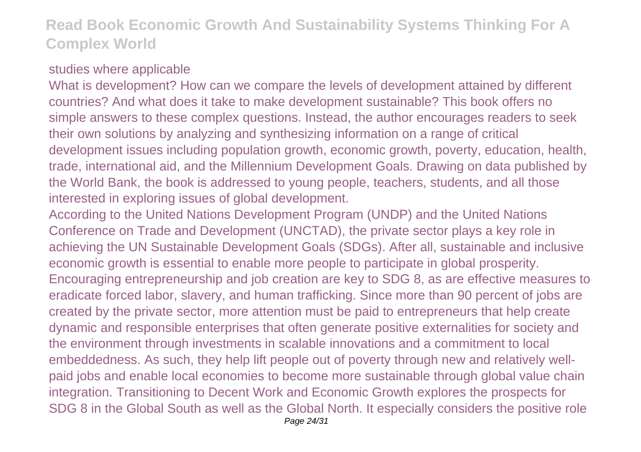#### studies where applicable

What is development? How can we compare the levels of development attained by different countries? And what does it take to make development sustainable? This book offers no simple answers to these complex questions. Instead, the author encourages readers to seek their own solutions by analyzing and synthesizing information on a range of critical development issues including population growth, economic growth, poverty, education, health, trade, international aid, and the Millennium Development Goals. Drawing on data published by the World Bank, the book is addressed to young people, teachers, students, and all those interested in exploring issues of global development.

According to the United Nations Development Program (UNDP) and the United Nations Conference on Trade and Development (UNCTAD), the private sector plays a key role in achieving the UN Sustainable Development Goals (SDGs). After all, sustainable and inclusive economic growth is essential to enable more people to participate in global prosperity. Encouraging entrepreneurship and job creation are key to SDG 8, as are effective measures to eradicate forced labor, slavery, and human trafficking. Since more than 90 percent of jobs are created by the private sector, more attention must be paid to entrepreneurs that help create dynamic and responsible enterprises that often generate positive externalities for society and the environment through investments in scalable innovations and a commitment to local embeddedness. As such, they help lift people out of poverty through new and relatively wellpaid jobs and enable local economies to become more sustainable through global value chain integration. Transitioning to Decent Work and Economic Growth explores the prospects for SDG 8 in the Global South as well as the Global North. It especially considers the positive role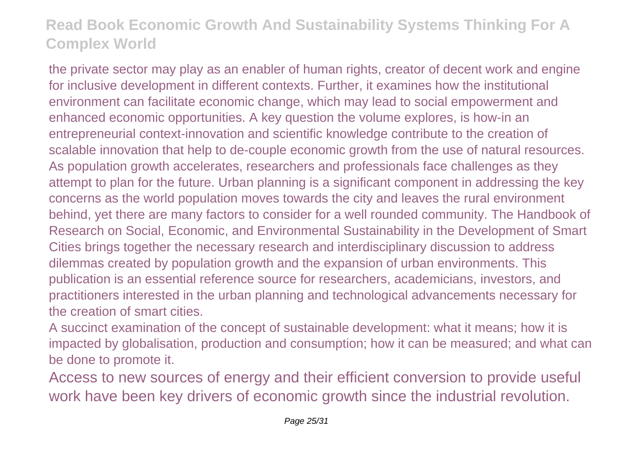the private sector may play as an enabler of human rights, creator of decent work and engine for inclusive development in different contexts. Further, it examines how the institutional environment can facilitate economic change, which may lead to social empowerment and enhanced economic opportunities. A key question the volume explores, is how-in an entrepreneurial context-innovation and scientific knowledge contribute to the creation of scalable innovation that help to de-couple economic growth from the use of natural resources. As population growth accelerates, researchers and professionals face challenges as they attempt to plan for the future. Urban planning is a significant component in addressing the key concerns as the world population moves towards the city and leaves the rural environment behind, yet there are many factors to consider for a well rounded community. The Handbook of Research on Social, Economic, and Environmental Sustainability in the Development of Smart Cities brings together the necessary research and interdisciplinary discussion to address dilemmas created by population growth and the expansion of urban environments. This publication is an essential reference source for researchers, academicians, investors, and practitioners interested in the urban planning and technological advancements necessary for the creation of smart cities.

A succinct examination of the concept of sustainable development: what it means; how it is impacted by globalisation, production and consumption; how it can be measured; and what can be done to promote it.

Access to new sources of energy and their efficient conversion to provide useful work have been key drivers of economic growth since the industrial revolution.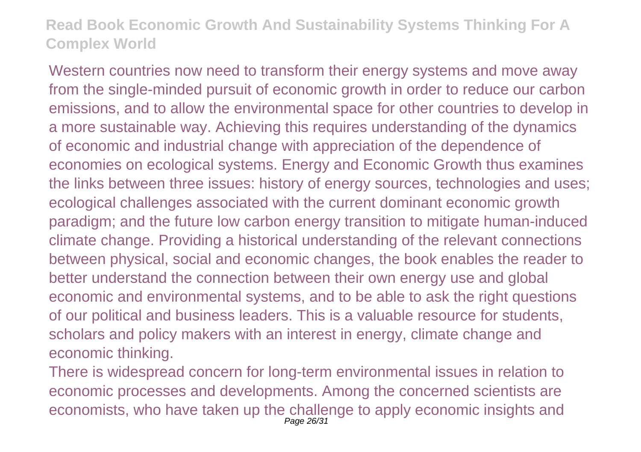Western countries now need to transform their energy systems and move away from the single-minded pursuit of economic growth in order to reduce our carbon emissions, and to allow the environmental space for other countries to develop in a more sustainable way. Achieving this requires understanding of the dynamics of economic and industrial change with appreciation of the dependence of economies on ecological systems. Energy and Economic Growth thus examines the links between three issues: history of energy sources, technologies and uses; ecological challenges associated with the current dominant economic growth paradigm; and the future low carbon energy transition to mitigate human-induced climate change. Providing a historical understanding of the relevant connections between physical, social and economic changes, the book enables the reader to better understand the connection between their own energy use and global economic and environmental systems, and to be able to ask the right questions of our political and business leaders. This is a valuable resource for students, scholars and policy makers with an interest in energy, climate change and economic thinking.

There is widespread concern for long-term environmental issues in relation to economic processes and developments. Among the concerned scientists are economists, who have taken up the challenge to apply economic insights and Page 26/31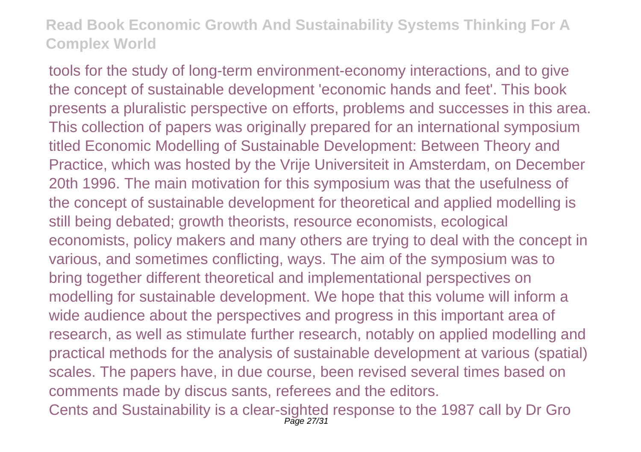tools for the study of long-term environment-economy interactions, and to give the concept of sustainable development 'economic hands and feet'. This book presents a pluralistic perspective on efforts, problems and successes in this area. This collection of papers was originally prepared for an international symposium titled Economic Modelling of Sustainable Development: Between Theory and Practice, which was hosted by the Vrije Universiteit in Amsterdam, on December 20th 1996. The main motivation for this symposium was that the usefulness of the concept of sustainable development for theoretical and applied modelling is still being debated; growth theorists, resource economists, ecological economists, policy makers and many others are trying to deal with the concept in various, and sometimes conflicting, ways. The aim of the symposium was to bring together different theoretical and implementational perspectives on modelling for sustainable development. We hope that this volume will inform a wide audience about the perspectives and progress in this important area of research, as well as stimulate further research, notably on applied modelling and practical methods for the analysis of sustainable development at various (spatial) scales. The papers have, in due course, been revised several times based on comments made by discus sants, referees and the editors.

Cents and Sustainability is a clear-sighted response to the 1987 call by Dr Gro Page 27/31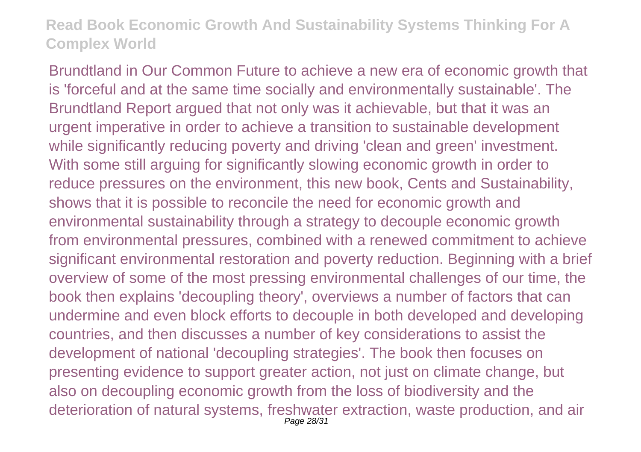Brundtland in Our Common Future to achieve a new era of economic growth that is 'forceful and at the same time socially and environmentally sustainable'. The Brundtland Report argued that not only was it achievable, but that it was an urgent imperative in order to achieve a transition to sustainable development while significantly reducing poverty and driving 'clean and green' investment. With some still arguing for significantly slowing economic growth in order to reduce pressures on the environment, this new book, Cents and Sustainability, shows that it is possible to reconcile the need for economic growth and environmental sustainability through a strategy to decouple economic growth from environmental pressures, combined with a renewed commitment to achieve significant environmental restoration and poverty reduction. Beginning with a brief overview of some of the most pressing environmental challenges of our time, the book then explains 'decoupling theory', overviews a number of factors that can undermine and even block efforts to decouple in both developed and developing countries, and then discusses a number of key considerations to assist the development of national 'decoupling strategies'. The book then focuses on presenting evidence to support greater action, not just on climate change, but also on decoupling economic growth from the loss of biodiversity and the deterioration of natural systems, freshwater extraction, waste production, and air Page 28/31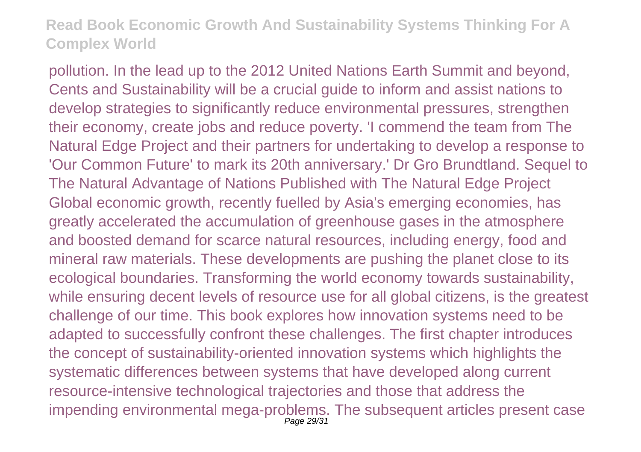pollution. In the lead up to the 2012 United Nations Earth Summit and beyond, Cents and Sustainability will be a crucial guide to inform and assist nations to develop strategies to significantly reduce environmental pressures, strengthen their economy, create jobs and reduce poverty. 'I commend the team from The Natural Edge Project and their partners for undertaking to develop a response to 'Our Common Future' to mark its 20th anniversary.' Dr Gro Brundtland. Sequel to The Natural Advantage of Nations Published with The Natural Edge Project Global economic growth, recently fuelled by Asia's emerging economies, has greatly accelerated the accumulation of greenhouse gases in the atmosphere and boosted demand for scarce natural resources, including energy, food and mineral raw materials. These developments are pushing the planet close to its ecological boundaries. Transforming the world economy towards sustainability, while ensuring decent levels of resource use for all global citizens, is the greatest challenge of our time. This book explores how innovation systems need to be adapted to successfully confront these challenges. The first chapter introduces the concept of sustainability-oriented innovation systems which highlights the systematic differences between systems that have developed along current resource-intensive technological trajectories and those that address the impending environmental mega-problems. The subsequent articles present case Page 29/31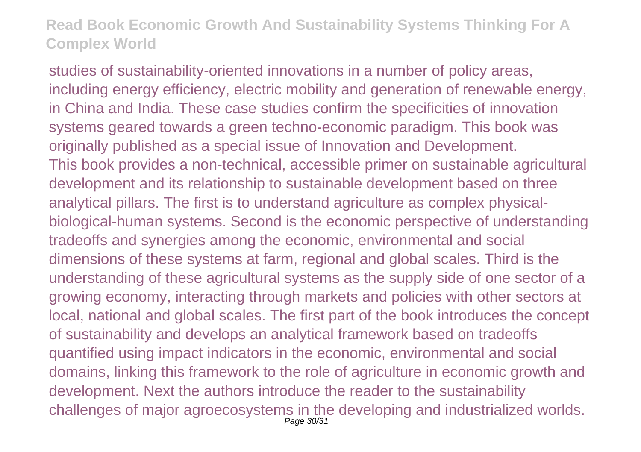studies of sustainability-oriented innovations in a number of policy areas, including energy efficiency, electric mobility and generation of renewable energy, in China and India. These case studies confirm the specificities of innovation systems geared towards a green techno-economic paradigm. This book was originally published as a special issue of Innovation and Development. This book provides a non-technical, accessible primer on sustainable agricultural development and its relationship to sustainable development based on three analytical pillars. The first is to understand agriculture as complex physicalbiological-human systems. Second is the economic perspective of understanding tradeoffs and synergies among the economic, environmental and social dimensions of these systems at farm, regional and global scales. Third is the understanding of these agricultural systems as the supply side of one sector of a growing economy, interacting through markets and policies with other sectors at local, national and global scales. The first part of the book introduces the concept of sustainability and develops an analytical framework based on tradeoffs quantified using impact indicators in the economic, environmental and social domains, linking this framework to the role of agriculture in economic growth and development. Next the authors introduce the reader to the sustainability challenges of major agroecosystems in the developing and industrialized worlds. Page 30/31